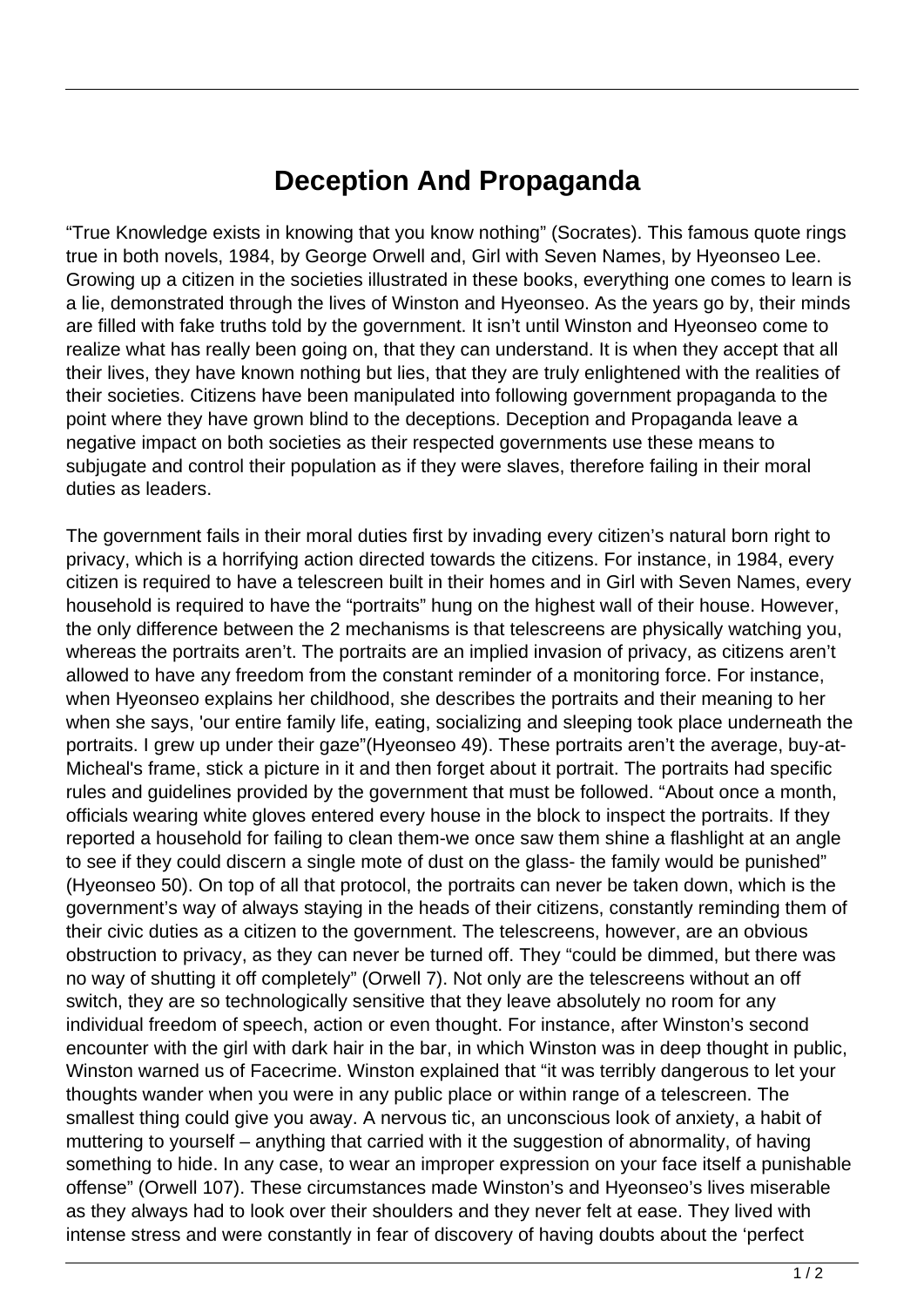## **Deception And Propaganda**

"True Knowledge exists in knowing that you know nothing" (Socrates). This famous quote rings true in both novels, 1984, by George Orwell and, Girl with Seven Names, by Hyeonseo Lee. Growing up a citizen in the societies illustrated in these books, everything one comes to learn is a lie, demonstrated through the lives of Winston and Hyeonseo. As the years go by, their minds are filled with fake truths told by the government. It isn't until Winston and Hyeonseo come to realize what has really been going on, that they can understand. It is when they accept that all their lives, they have known nothing but lies, that they are truly enlightened with the realities of their societies. Citizens have been manipulated into following government propaganda to the point where they have grown blind to the deceptions. Deception and Propaganda leave a negative impact on both societies as their respected governments use these means to subjugate and control their population as if they were slaves, therefore failing in their moral duties as leaders.

The government fails in their moral duties first by invading every citizen's natural born right to privacy, which is a horrifying action directed towards the citizens. For instance, in 1984, every citizen is required to have a telescreen built in their homes and in Girl with Seven Names, every household is required to have the "portraits" hung on the highest wall of their house. However, the only difference between the 2 mechanisms is that telescreens are physically watching you, whereas the portraits aren't. The portraits are an implied invasion of privacy, as citizens aren't allowed to have any freedom from the constant reminder of a monitoring force. For instance, when Hyeonseo explains her childhood, she describes the portraits and their meaning to her when she says, 'our entire family life, eating, socializing and sleeping took place underneath the portraits. I grew up under their gaze"(Hyeonseo 49). These portraits aren't the average, buy-at-Micheal's frame, stick a picture in it and then forget about it portrait. The portraits had specific rules and guidelines provided by the government that must be followed. "About once a month, officials wearing white gloves entered every house in the block to inspect the portraits. If they reported a household for failing to clean them-we once saw them shine a flashlight at an angle to see if they could discern a single mote of dust on the glass- the family would be punished" (Hyeonseo 50). On top of all that protocol, the portraits can never be taken down, which is the government's way of always staying in the heads of their citizens, constantly reminding them of their civic duties as a citizen to the government. The telescreens, however, are an obvious obstruction to privacy, as they can never be turned off. They "could be dimmed, but there was no way of shutting it off completely" (Orwell 7). Not only are the telescreens without an off switch, they are so technologically sensitive that they leave absolutely no room for any individual freedom of speech, action or even thought. For instance, after Winston's second encounter with the girl with dark hair in the bar, in which Winston was in deep thought in public, Winston warned us of Facecrime. Winston explained that "it was terribly dangerous to let your thoughts wander when you were in any public place or within range of a telescreen. The smallest thing could give you away. A nervous tic, an unconscious look of anxiety, a habit of muttering to yourself – anything that carried with it the suggestion of abnormality, of having something to hide. In any case, to wear an improper expression on your face itself a punishable offense" (Orwell 107). These circumstances made Winston's and Hyeonseo's lives miserable as they always had to look over their shoulders and they never felt at ease. They lived with intense stress and were constantly in fear of discovery of having doubts about the 'perfect